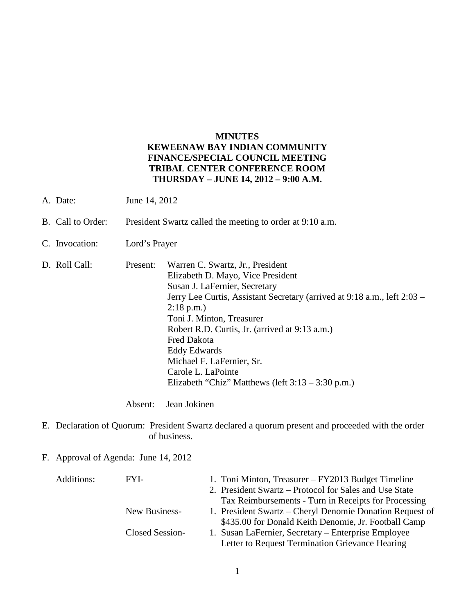## **MINUTES KEWEENAW BAY INDIAN COMMUNITY FINANCE/SPECIAL COUNCIL MEETING TRIBAL CENTER CONFERENCE ROOM THURSDAY – JUNE 14, 2012 – 9:00 A.M.**

- A. Date: June 14, 2012
- B. Call to Order: President Swartz called the meeting to order at 9:10 a.m.
- C. Invocation: Lord's Prayer
- D. Roll Call: Present: Warren C. Swartz, Jr., President Elizabeth D. Mayo, Vice President Susan J. LaFernier, Secretary Jerry Lee Curtis, Assistant Secretary (arrived at 9:18 a.m., left 2:03 – 2:18 p.m.) Toni J. Minton, Treasurer Robert R.D. Curtis, Jr. (arrived at 9:13 a.m.) Fred Dakota Eddy Edwards Michael F. LaFernier, Sr. Carole L. LaPointe Elizabeth "Chiz" Matthews (left 3:13 – 3:30 p.m.)

Absent: Jean Jokinen

- E. Declaration of Quorum: President Swartz declared a quorum present and proceeded with the order of business.
- F. Approval of Agenda: June 14, 2012

| Additions: | FYI-            | 1. Toni Minton, Treasurer – FY2013 Budget Timeline       |
|------------|-----------------|----------------------------------------------------------|
|            |                 | 2. President Swartz – Protocol for Sales and Use State   |
|            |                 | Tax Reimbursements - Turn in Receipts for Processing     |
|            | New Business-   | 1. President Swartz – Cheryl Denomie Donation Request of |
|            |                 | \$435.00 for Donald Keith Denomie, Jr. Football Camp     |
|            | Closed Session- | 1. Susan LaFernier, Secretary – Enterprise Employee      |
|            |                 | Letter to Request Termination Grievance Hearing          |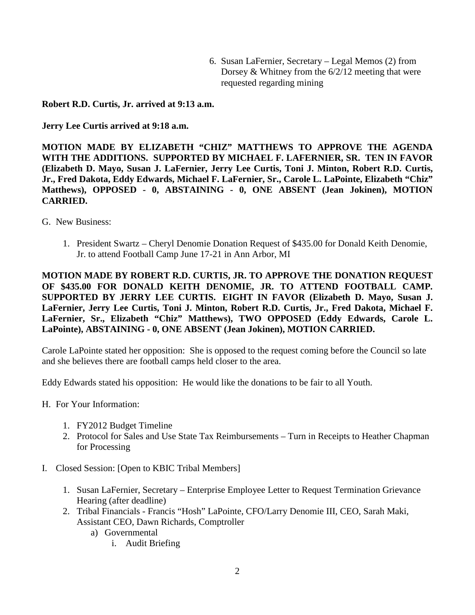6. Susan LaFernier, Secretary – Legal Memos (2) from Dorsey  $&$  Whitney from the  $6/2/12$  meeting that were requested regarding mining

**Robert R.D. Curtis, Jr. arrived at 9:13 a.m.** 

**Jerry Lee Curtis arrived at 9:18 a.m.** 

**MOTION MADE BY ELIZABETH "CHIZ" MATTHEWS TO APPROVE THE AGENDA WITH THE ADDITIONS. SUPPORTED BY MICHAEL F. LAFERNIER, SR. TEN IN FAVOR (Elizabeth D. Mayo, Susan J. LaFernier, Jerry Lee Curtis, Toni J. Minton, Robert R.D. Curtis, Jr., Fred Dakota, Eddy Edwards, Michael F. LaFernier, Sr., Carole L. LaPointe, Elizabeth "Chiz" Matthews), OPPOSED - 0, ABSTAINING - 0, ONE ABSENT (Jean Jokinen), MOTION CARRIED.**

- G. New Business:
	- 1. President Swartz Cheryl Denomie Donation Request of \$435.00 for Donald Keith Denomie, Jr. to attend Football Camp June 17-21 in Ann Arbor, MI

**MOTION MADE BY ROBERT R.D. CURTIS, JR. TO APPROVE THE DONATION REQUEST OF \$435.00 FOR DONALD KEITH DENOMIE, JR. TO ATTEND FOOTBALL CAMP. SUPPORTED BY JERRY LEE CURTIS. EIGHT IN FAVOR (Elizabeth D. Mayo, Susan J. LaFernier, Jerry Lee Curtis, Toni J. Minton, Robert R.D. Curtis, Jr., Fred Dakota, Michael F. LaFernier, Sr., Elizabeth "Chiz" Matthews), TWO OPPOSED (Eddy Edwards, Carole L. LaPointe), ABSTAINING - 0, ONE ABSENT (Jean Jokinen), MOTION CARRIED.**

Carole LaPointe stated her opposition: She is opposed to the request coming before the Council so late and she believes there are football camps held closer to the area.

Eddy Edwards stated his opposition: He would like the donations to be fair to all Youth.

- H. For Your Information:
	- 1. FY2012 Budget Timeline
	- 2. Protocol for Sales and Use State Tax Reimbursements Turn in Receipts to Heather Chapman for Processing
- I. Closed Session: [Open to KBIC Tribal Members]
	- 1. Susan LaFernier, Secretary Enterprise Employee Letter to Request Termination Grievance Hearing (after deadline)
	- 2. Tribal Financials Francis "Hosh" LaPointe, CFO/Larry Denomie III, CEO, Sarah Maki, Assistant CEO, Dawn Richards, Comptroller
		- a) Governmental
			- i. Audit Briefing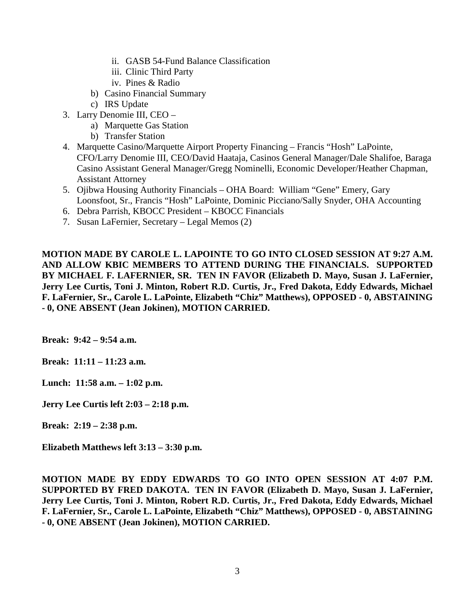- ii. GASB 54-Fund Balance Classification
- iii. Clinic Third Party
- iv. Pines & Radio
- b) Casino Financial Summary
- c) IRS Update
- 3. Larry Denomie III, CEO
	- a) Marquette Gas Station
	- b) Transfer Station
- 4. Marquette Casino/Marquette Airport Property Financing Francis "Hosh" LaPointe, CFO/Larry Denomie III, CEO/David Haataja, Casinos General Manager/Dale Shalifoe, Baraga Casino Assistant General Manager/Gregg Nominelli, Economic Developer/Heather Chapman, Assistant Attorney
- 5. Ojibwa Housing Authority Financials OHA Board: William "Gene" Emery, Gary Loonsfoot, Sr., Francis "Hosh" LaPointe, Dominic Picciano/Sally Snyder, OHA Accounting
- 6. Debra Parrish, KBOCC President KBOCC Financials
- 7. Susan LaFernier, Secretary Legal Memos (2)

**MOTION MADE BY CAROLE L. LAPOINTE TO GO INTO CLOSED SESSION AT 9:27 A.M. AND ALLOW KBIC MEMBERS TO ATTEND DURING THE FINANCIALS. SUPPORTED BY MICHAEL F. LAFERNIER, SR. TEN IN FAVOR (Elizabeth D. Mayo, Susan J. LaFernier, Jerry Lee Curtis, Toni J. Minton, Robert R.D. Curtis, Jr., Fred Dakota, Eddy Edwards, Michael F. LaFernier, Sr., Carole L. LaPointe, Elizabeth "Chiz" Matthews), OPPOSED - 0, ABSTAINING - 0, ONE ABSENT (Jean Jokinen), MOTION CARRIED.**

**Break: 9:42 – 9:54 a.m.** 

**Break: 11:11 – 11:23 a.m.** 

**Lunch: 11:58 a.m. – 1:02 p.m.** 

**Jerry Lee Curtis left 2:03 – 2:18 p.m.** 

**Break: 2:19 – 2:38 p.m.** 

**Elizabeth Matthews left 3:13 – 3:30 p.m.** 

**MOTION MADE BY EDDY EDWARDS TO GO INTO OPEN SESSION AT 4:07 P.M. SUPPORTED BY FRED DAKOTA. TEN IN FAVOR (Elizabeth D. Mayo, Susan J. LaFernier, Jerry Lee Curtis, Toni J. Minton, Robert R.D. Curtis, Jr., Fred Dakota, Eddy Edwards, Michael F. LaFernier, Sr., Carole L. LaPointe, Elizabeth "Chiz" Matthews), OPPOSED - 0, ABSTAINING - 0, ONE ABSENT (Jean Jokinen), MOTION CARRIED.**